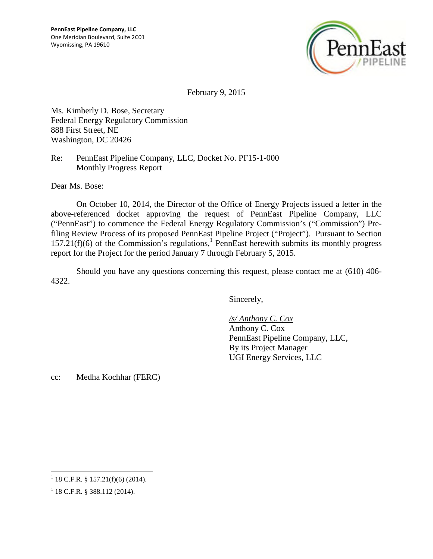

February 9, 2015

Ms. Kimberly D. Bose, Secretary Federal Energy Regulatory Commission 888 First Street, NE Washington, DC 20426

Re: PennEast Pipeline Company, LLC, Docket No. PF15-1-000 Monthly Progress Report

Dear Ms. Bose:

On October 10, 2014, the Director of the Office of Energy Projects issued a letter in the above-referenced docket approving the request of PennEast Pipeline Company, LLC ("PennEast") to commence the Federal Energy Regulatory Commission's ("Commission") Prefiling Review Process of its proposed PennEast Pipeline Project ("Project"). Pursuant to Section  $157.21(f)(6)$  $157.21(f)(6)$  of the Commission's regulations,<sup>1</sup> PennEast herewith submits its monthly progress report for the Project for the period January 7 through February 5, 2015.

Should you have any questions concerning this request, please contact me at (610) 406- 4322.

Sincerely,

*/s/ Anthony C. Cox* Anthony C. Cox PennEast Pipeline Company, LLC, By its Project Manager UGI Energy Services, LLC

cc: Medha Kochhar (FERC)

<span id="page-0-0"></span> $1$  18 C.F.R. § 157.21(f)(6) (2014).

 $1$  18 C.F.R. § 388.112 (2014).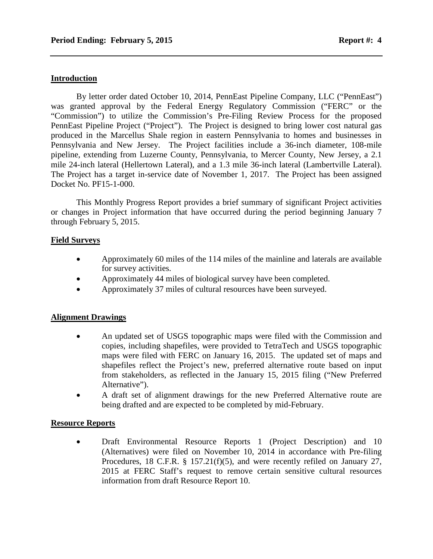#### **Introduction**

By letter order dated October 10, 2014, PennEast Pipeline Company, LLC ("PennEast") was granted approval by the Federal Energy Regulatory Commission ("FERC" or the "Commission") to utilize the Commission's Pre-Filing Review Process for the proposed PennEast Pipeline Project ("Project"). The Project is designed to bring lower cost natural gas produced in the Marcellus Shale region in eastern Pennsylvania to homes and businesses in Pennsylvania and New Jersey. The Project facilities include a 36-inch diameter, 108-mile pipeline, extending from Luzerne County, Pennsylvania, to Mercer County, New Jersey, a 2.1 mile 24-inch lateral (Hellertown Lateral), and a 1.3 mile 36-inch lateral (Lambertville Lateral). The Project has a target in-service date of November 1, 2017. The Project has been assigned Docket No. PF15-1-000.

This Monthly Progress Report provides a brief summary of significant Project activities or changes in Project information that have occurred during the period beginning January 7 through February 5, 2015.

#### **Field Surveys**

- Approximately 60 miles of the 114 miles of the mainline and laterals are available for survey activities.
- Approximately 44 miles of biological survey have been completed.
- Approximately 37 miles of cultural resources have been surveyed.

#### **Alignment Drawings**

- An updated set of USGS topographic maps were filed with the Commission and copies, including shapefiles, were provided to TetraTech and USGS topographic maps were filed with FERC on January 16, 2015. The updated set of maps and shapefiles reflect the Project's new, preferred alternative route based on input from stakeholders, as reflected in the January 15, 2015 filing ("New Preferred Alternative").
- A draft set of alignment drawings for the new Preferred Alternative route are being drafted and are expected to be completed by mid-February.

#### **Resource Reports**

 Draft Environmental Resource Reports 1 (Project Description) and 10 (Alternatives) were filed on November 10, 2014 in accordance with Pre-filing Procedures, 18 C.F.R. § 157.21(f)(5), and were recently refiled on January 27, 2015 at FERC Staff's request to remove certain sensitive cultural resources information from draft Resource Report 10.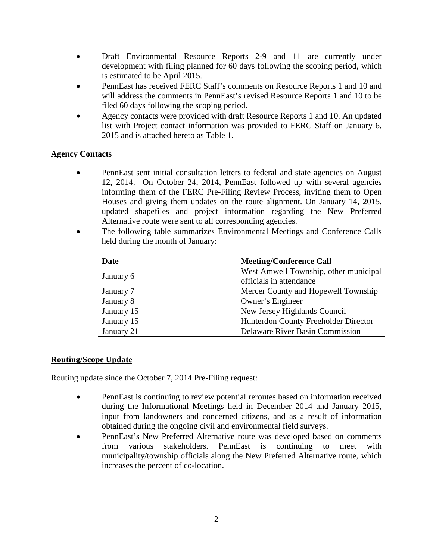- Draft Environmental Resource Reports 2-9 and 11 are currently under development with filing planned for 60 days following the scoping period, which is estimated to be April 2015.
- PennEast has received FERC Staff's comments on Resource Reports 1 and 10 and will address the comments in PennEast's revised Resource Reports 1 and 10 to be filed 60 days following the scoping period.
- Agency contacts were provided with draft Resource Reports 1 and 10. An updated list with Project contact information was provided to FERC Staff on January 6, 2015 and is attached hereto as Table 1.

# **Agency Contacts**

- PennEast sent initial consultation letters to federal and state agencies on August 12, 2014. On October 24, 2014, PennEast followed up with several agencies informing them of the FERC Pre-Filing Review Process, inviting them to Open Houses and giving them updates on the route alignment. On January 14, 2015, updated shapefiles and project information regarding the New Preferred Alternative route were sent to all corresponding agencies.
- The following table summarizes Environmental Meetings and Conference Calls held during the month of January:

| Date       | <b>Meeting/Conference Call</b>        |
|------------|---------------------------------------|
| January 6  | West Amwell Township, other municipal |
|            | officials in attendance               |
| January 7  | Mercer County and Hopewell Township   |
| January 8  | Owner's Engineer                      |
| January 15 | New Jersey Highlands Council          |
| January 15 | Hunterdon County Freeholder Director  |
| January 21 | Delaware River Basin Commission       |

# **Routing/Scope Update**

Routing update since the October 7, 2014 Pre-Filing request:

- PennEast is continuing to review potential reroutes based on information received during the Informational Meetings held in December 2014 and January 2015, input from landowners and concerned citizens, and as a result of information obtained during the ongoing civil and environmental field surveys.
- PennEast's New Preferred Alternative route was developed based on comments from various stakeholders. PennEast is continuing to meet with municipality/township officials along the New Preferred Alternative route, which increases the percent of co-location.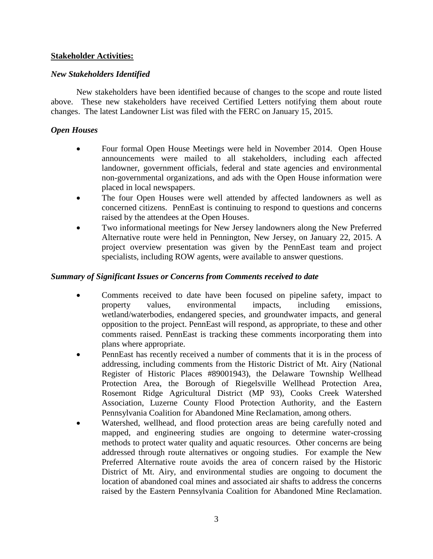### **Stakeholder Activities:**

### *New Stakeholders Identified*

New stakeholders have been identified because of changes to the scope and route listed above. These new stakeholders have received Certified Letters notifying them about route changes. The latest Landowner List was filed with the FERC on January 15, 2015.

### *Open Houses*

- Four formal Open House Meetings were held in November 2014. Open House announcements were mailed to all stakeholders, including each affected landowner, government officials, federal and state agencies and environmental non-governmental organizations, and ads with the Open House information were placed in local newspapers.
- The four Open Houses were well attended by affected landowners as well as concerned citizens. PennEast is continuing to respond to questions and concerns raised by the attendees at the Open Houses.
- Two informational meetings for New Jersey landowners along the New Preferred Alternative route were held in Pennington, New Jersey, on January 22, 2015. A project overview presentation was given by the PennEast team and project specialists, including ROW agents, were available to answer questions.

### *Summary of Significant Issues or Concerns from Comments received to date*

- Comments received to date have been focused on pipeline safety, impact to property values, environmental impacts, including emissions, wetland/waterbodies, endangered species, and groundwater impacts, and general opposition to the project. PennEast will respond, as appropriate, to these and other comments raised. PennEast is tracking these comments incorporating them into plans where appropriate.
- PennEast has recently received a number of comments that it is in the process of addressing, including comments from the Historic District of Mt. Airy (National Register of Historic Places #89001943), the Delaware Township Wellhead Protection Area, the Borough of Riegelsville Wellhead Protection Area, Rosemont Ridge Agricultural District (MP 93), Cooks Creek Watershed Association, Luzerne County Flood Protection Authority, and the Eastern Pennsylvania Coalition for Abandoned Mine Reclamation, among others.
- Watershed, wellhead, and flood protection areas are being carefully noted and mapped, and engineering studies are ongoing to determine water-crossing methods to protect water quality and aquatic resources. Other concerns are being addressed through route alternatives or ongoing studies. For example the New Preferred Alternative route avoids the area of concern raised by the Historic District of Mt. Airy, and environmental studies are ongoing to document the location of abandoned coal mines and associated air shafts to address the concerns raised by the Eastern Pennsylvania Coalition for Abandoned Mine Reclamation.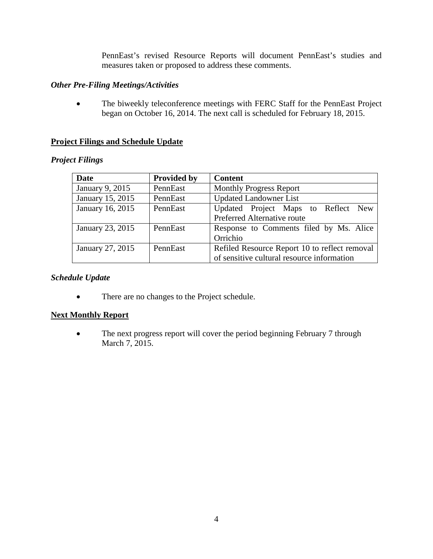PennEast's revised Resource Reports will document PennEast's studies and measures taken or proposed to address these comments.

### *Other Pre-Filing Meetings/Activities*

 The biweekly teleconference meetings with FERC Staff for the PennEast Project began on October 16, 2014. The next call is scheduled for February 18, 2015.

# **Project Filings and Schedule Update**

# *Project Filings*

| Date             | <b>Provided by</b> | <b>Content</b>                                |  |
|------------------|--------------------|-----------------------------------------------|--|
| January 9, 2015  | PennEast           | <b>Monthly Progress Report</b>                |  |
| January 15, 2015 | PennEast           | <b>Updated Landowner List</b>                 |  |
| January 16, 2015 | PennEast           | Updated Project Maps to Reflect New           |  |
|                  |                    | Preferred Alternative route                   |  |
| January 23, 2015 | PennEast           | Response to Comments filed by Ms. Alice       |  |
|                  |                    | Orrichio                                      |  |
| January 27, 2015 | PennEast           | Refiled Resource Report 10 to reflect removal |  |
|                  |                    | of sensitive cultural resource information    |  |

#### *Schedule Update*

• There are no changes to the Project schedule.

# **Next Monthly Report**

• The next progress report will cover the period beginning February 7 through March 7, 2015.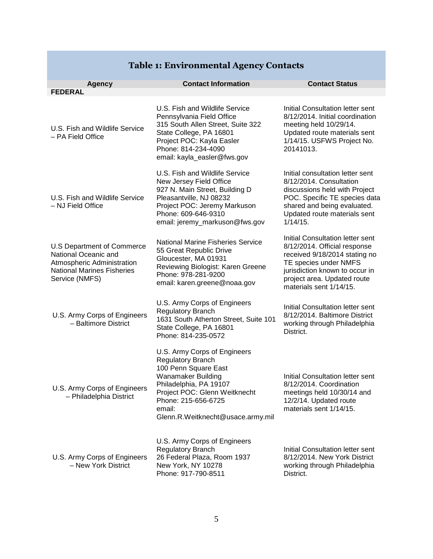|                                                                                                                                         | <b>Contact Information</b>                                                                                                                                                                                                                     | <b>Contact Status</b>                                                                                                                                                                                                  |
|-----------------------------------------------------------------------------------------------------------------------------------------|------------------------------------------------------------------------------------------------------------------------------------------------------------------------------------------------------------------------------------------------|------------------------------------------------------------------------------------------------------------------------------------------------------------------------------------------------------------------------|
| <b>Agency</b><br><b>FEDERAL</b>                                                                                                         |                                                                                                                                                                                                                                                |                                                                                                                                                                                                                        |
| U.S. Fish and Wildlife Service<br>- PA Field Office                                                                                     | U.S. Fish and Wildlife Service<br>Pennsylvania Field Office<br>315 South Allen Street, Suite 322<br>State College, PA 16801<br>Project POC: Kayla Easler<br>Phone: 814-234-4090<br>email: kayla_easler@fws.gov                                 | Initial Consultation letter sent<br>8/12/2014. Initial coordination<br>meeting held 10/29/14.<br>Updated route materials sent<br>1/14/15. USFWS Project No.<br>20141013.                                               |
| U.S. Fish and Wildlife Service<br>- NJ Field Office                                                                                     | U.S. Fish and Wildlife Service<br>New Jersey Field Office<br>927 N. Main Street, Building D<br>Pleasantville, NJ 08232<br>Project POC: Jeremy Markuson<br>Phone: 609-646-9310<br>email: jeremy_markuson@fws.gov                                | Initial consultation letter sent<br>8/12/2014. Consultation<br>discussions held with Project<br>POC. Specific TE species data<br>shared and being evaluated.<br>Updated route materials sent<br>1/14/15.               |
| U.S Department of Commerce<br>National Oceanic and<br>Atmospheric Administration<br><b>National Marines Fisheries</b><br>Service (NMFS) | <b>National Marine Fisheries Service</b><br>55 Great Republic Drive<br>Gloucester, MA 01931<br>Reviewing Biologist: Karen Greene<br>Phone: 978-281-9200<br>email: karen.greene@noaa.gov                                                        | Initial Consultation letter sent<br>8/12/2014. Official response<br>received 9/18/2014 stating no<br>TE species under NMFS<br>jurisdiction known to occur in<br>project area. Updated route<br>materials sent 1/14/15. |
| U.S. Army Corps of Engineers<br>- Baltimore District                                                                                    | U.S. Army Corps of Engineers<br><b>Regulatory Branch</b><br>1631 South Atherton Street, Suite 101<br>State College, PA 16801<br>Phone: 814-235-0572                                                                                            | Initial Consultation letter sent<br>8/12/2014. Baltimore District<br>working through Philadelphia<br>District.                                                                                                         |
| U.S. Army Corps of Engineers<br>- Philadelphia District                                                                                 | U.S. Army Corps of Engineers<br><b>Regulatory Branch</b><br>100 Penn Square East<br><b>Wanamaker Building</b><br>Philadelphia, PA 19107<br>Project POC: Glenn Weitknecht<br>Phone: 215-656-6725<br>email:<br>Glenn.R.Weitknecht@usace.army.mil | Initial Consultation letter sent<br>8/12/2014. Coordination<br>meetings held 10/30/14 and<br>12/2/14. Updated route<br>materials sent 1/14/15.                                                                         |
| U.S. Army Corps of Engineers<br>- New York District                                                                                     | U.S. Army Corps of Engineers<br>Regulatory Branch<br>26 Federal Plaza, Room 1937<br>New York, NY 10278<br>Phone: 917-790-8511                                                                                                                  | Initial Consultation letter sent<br>8/12/2014. New York District<br>working through Philadelphia<br>District.                                                                                                          |

# **Table 1: Environmental Agency Contacts**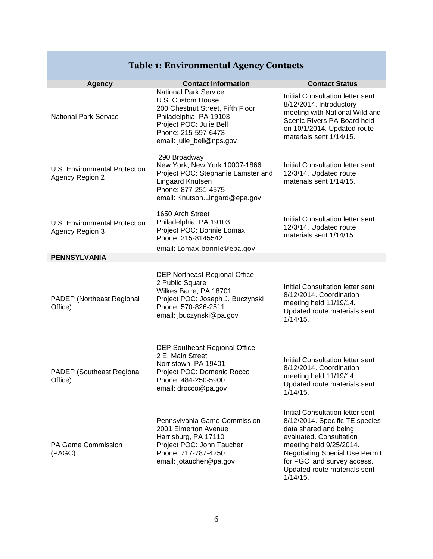#### **Agency Contact Information Contact Status** National Park Service National Park Service U.S. Custom House 200 Chestnut Street, Fifth Floor Philadelphia, PA 19103 Project POC: Julie Bell Phone: 215-597-6473 email: julie\_bell@nps.gov Initial Consultation letter sent 8/12/2014. Introductory meeting with National Wild and Scenic Rivers PA Board held on 10/1/2014. Updated route materials sent 1/14/15. U.S. Environmental Protection Agency Region 2 290 Broadway New York, New York 10007-1866 Project POC: Stephanie Lamster and Lingaard Knutsen Phone: 877-251-4575 email: Knutson.Lingard@epa.gov Initial Consultation letter sent 12/3/14. Updated route materials sent 1/14/15. U.S. Environmental Protection Agency Region 3 1650 Arch Street Philadelphia, PA 19103 Project POC: Bonnie Lomax Phone: 215-8145542 email: Lomax.bonnie@epa.gov Initial Consultation letter sent 12/3/14. Updated route materials sent 1/14/15. **PENNSYLVANIA** PADEP (Northeast Regional Office) DEP Northeast Regional Office 2 Public Square Wilkes Barre, PA 18701 Project POC: Joseph J. Buczynski Phone: 570-826-2511 email: jbuczynski@pa.gov Initial Consultation letter sent 8/12/2014. Coordination meeting held 11/19/14. Updated route materials sent 1/14/15. PADEP (Southeast Regional Office) DEP Southeast Regional Office 2 E. Main Street Norristown, PA 19401 Project POC: Domenic Rocco Phone: 484-250-5900 email: drocco@pa.gov Initial Consultation letter sent 8/12/2014. Coordination meeting held 11/19/14. Updated route materials sent 1/14/15. PA Game Commission (PAGC) Pennsylvania Game Commission 2001 Elmerton Avenue Harrisburg, PA 17110 Project POC: John Taucher Phone: 717-787-4250 email: jotaucher@pa.gov Initial Consultation letter sent 8/12/2014. Specific TE species data shared and being evaluated. Consultation meeting held 9/25/2014. Negotiating Special Use Permit for PGC land survey access. Updated route materials sent

1/14/15.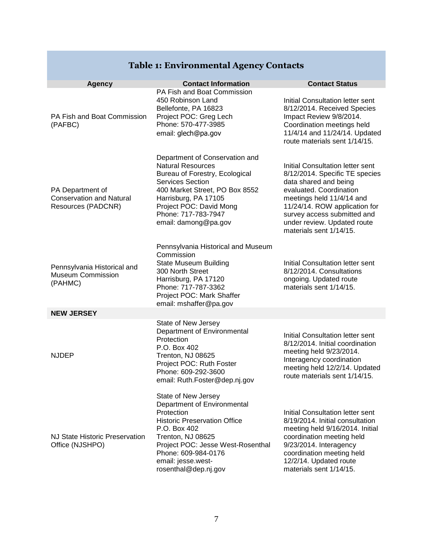# **Table 1: Environmental Agency Contacts**

| <b>Agency</b>                                                                           | <b>Contact Information</b>                                                                                                                                                                                                                             | <b>Contact Status</b>                                                                                                                                                                                                                                                         |
|-----------------------------------------------------------------------------------------|--------------------------------------------------------------------------------------------------------------------------------------------------------------------------------------------------------------------------------------------------------|-------------------------------------------------------------------------------------------------------------------------------------------------------------------------------------------------------------------------------------------------------------------------------|
| PA Fish and Boat Commission<br>(PAFBC)                                                  | PA Fish and Boat Commission<br>450 Robinson Land<br>Bellefonte, PA 16823<br>Project POC: Greg Lech<br>Phone: 570-477-3985<br>email: glech@pa.gov                                                                                                       | <b>Initial Consultation letter sent</b><br>8/12/2014. Received Species<br>Impact Review 9/8/2014.<br>Coordination meetings held<br>11/4/14 and 11/24/14. Updated<br>route materials sent 1/14/15.                                                                             |
| PA Department of<br><b>Conservation and Natural</b><br>Resources (PADCNR)               | Department of Conservation and<br><b>Natural Resources</b><br>Bureau of Forestry, Ecological<br>Services Section<br>400 Market Street, PO Box 8552<br>Harrisburg, PA 17105<br>Project POC: David Mong<br>Phone: 717-783-7947<br>email: damong@pa.gov   | Initial Consultation letter sent<br>8/12/2014. Specific TE species<br>data shared and being<br>evaluated. Coordination<br>meetings held 11/4/14 and<br>11/24/14. ROW application for<br>survey access submitted and<br>under review. Updated route<br>materials sent 1/14/15. |
| Pennsylvania Historical and<br><b>Museum Commission</b><br>(PAHMC)<br><b>NEW JERSEY</b> | Pennsylvania Historical and Museum<br>Commission<br><b>State Museum Building</b><br>300 North Street<br>Harrisburg, PA 17120<br>Phone: 717-787-3362<br>Project POC: Mark Shaffer<br>email: mshaffer@pa.gov                                             | Initial Consultation letter sent<br>8/12/2014. Consultations<br>ongoing. Updated route<br>materials sent 1/14/15.                                                                                                                                                             |
|                                                                                         | State of New Jersey                                                                                                                                                                                                                                    |                                                                                                                                                                                                                                                                               |
| <b>NJDEP</b>                                                                            | Department of Environmental<br>Protection<br>P.O. Box 402<br>Trenton, NJ 08625<br>Project POC: Ruth Foster<br>Phone: 609-292-3600<br>email: Ruth.Foster@dep.nj.gov                                                                                     | Initial Consultation letter sent<br>8/12/2014. Initial coordination<br>meeting held 9/23/2014.<br>Interagency coordination<br>meeting held 12/2/14. Updated<br>route materials sent 1/14/15.                                                                                  |
| NJ State Historic Preservation<br>Office (NJSHPO)                                       | State of New Jersey<br>Department of Environmental<br>Protection<br><b>Historic Preservation Office</b><br>P.O. Box 402<br>Trenton, NJ 08625<br>Project POC: Jesse West-Rosenthal<br>Phone: 609-984-0176<br>email: jesse.west-<br>rosenthal@dep.nj.gov | Initial Consultation letter sent<br>8/19/2014. Initial consultation<br>meeting held 9/16/2014. Initial<br>coordination meeting held<br>9/23/2014. Interagency<br>coordination meeting held<br>12/2/14. Updated route<br>materials sent 1/14/15.                               |